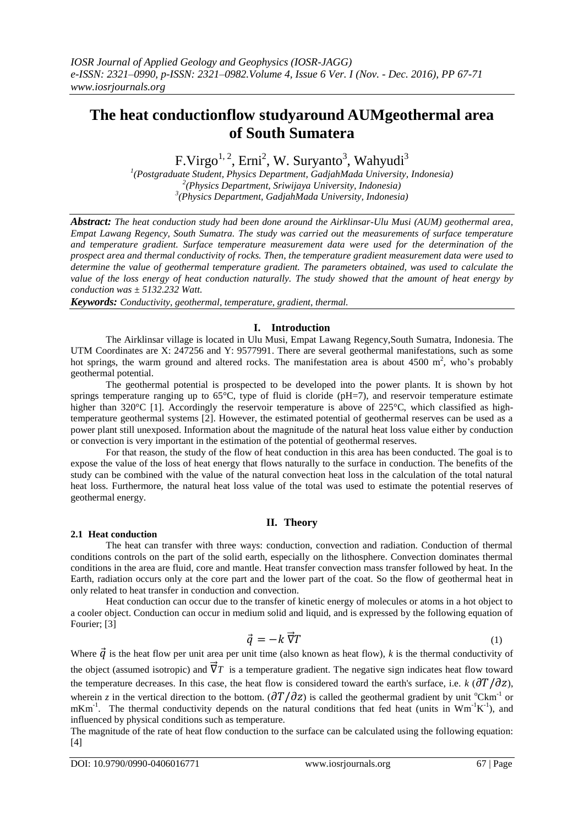# **The heat conductionflow studyaround AUMgeothermal area of South Sumatera**

F.Virgo<sup>1, 2</sup>, Erni<sup>2</sup>, W. Suryanto<sup>3</sup>, Wahyudi<sup>3</sup>

*1 (Postgraduate Student, Physics Department, GadjahMada University, Indonesia) 2 (Physics Department, Sriwijaya University, Indonesia) 3 (Physics Department, GadjahMada University, Indonesia)*

*Abstract: The heat conduction study had been done around the Airklinsar-Ulu Musi (AUM) geothermal area, Empat Lawang Regency, South Sumatra. The study was carried out the measurements of surface temperature and temperature gradient. Surface temperature measurement data were used for the determination of the prospect area and thermal conductivity of rocks. Then, the temperature gradient measurement data were used to determine the value of geothermal temperature gradient. The parameters obtained, was used to calculate the value of the loss energy of heat conduction naturally. The study showed that the amount of heat energy by conduction was ± 5132.232 Watt.*

*Keywords: Conductivity, geothermal, temperature, gradient, thermal.*

# **I. Introduction**

The Airklinsar village is located in Ulu Musi, Empat Lawang Regency,South Sumatra, Indonesia. The UTM Coordinates are X: 247256 and Y: 9577991. There are several geothermal manifestations, such as some hot springs, the warm ground and altered rocks. The manifestation area is about 4500  $m^2$ , who's probably geothermal potential.

The geothermal potential is prospected to be developed into the power plants. It is shown by hot springs temperature ranging up to  $65^{\circ}$ C, type of fluid is cloride (pH=7), and reservoir temperature estimate higher than 320°C [1]. Accordingly the reservoir temperature is above of 225°C, which classified as hightemperature geothermal systems [2]. However, the estimated potential of geothermal reserves can be used as a power plant still unexposed. Information about the magnitude of the natural heat loss value either by conduction or convection is very important in the estimation of the potential of geothermal reserves.

For that reason, the study of the flow of heat conduction in this area has been conducted. The goal is to expose the value of the loss of heat energy that flows naturally to the surface in conduction. The benefits of the study can be combined with the value of the natural convection heat loss in the calculation of the total natural heat loss. Furthermore, the natural heat loss value of the total was used to estimate the potential reserves of geothermal energy.

# **II. Theory**

# **2.1 Heat conduction**

The heat can transfer with three ways: conduction, convection and radiation. Conduction of thermal conditions controls on the part of the solid earth, especially on the lithosphere. Convection dominates thermal conditions in the area are fluid, core and mantle. Heat transfer convection mass transfer followed by heat. In the Earth, radiation occurs only at the core part and the lower part of the coat. So the flow of geothermal heat in only related to heat transfer in conduction and convection.

Heat conduction can occur due to the transfer of kinetic energy of molecules or atoms in a hot object to a cooler object. Conduction can occur in medium solid and liquid, and is expressed by the following equation of Fourier; [3]

$$
\vec{q} = -k \vec{\nabla} T \tag{1}
$$

Where  $\vec{q}$  is the heat flow per unit area per unit time (also known as heat flow), *k* is the thermal conductivity of the object (assumed isotropic) and  $\overline{V}T$  is a temperature gradient. The negative sign indicates heat flow toward the temperature decreases. In this case, the heat flow is considered toward the earth's surface, i.e.  $k$  ( $\partial T/\partial z$ ), wherein *z* in the vertical direction to the bottom.  $\left(\frac{\partial T}{\partial z}\right)$  is called the geothermal gradient by unit <sup>o</sup>Ckm<sup>-1</sup> or  $mKm^{-1}$ . The thermal conductivity depends on the natural conditions that fed heat (units in Wm<sup>-1</sup>K<sup>-1</sup>), and influenced by physical conditions such as temperature.

The magnitude of the rate of heat flow conduction to the surface can be calculated using the following equation: [4]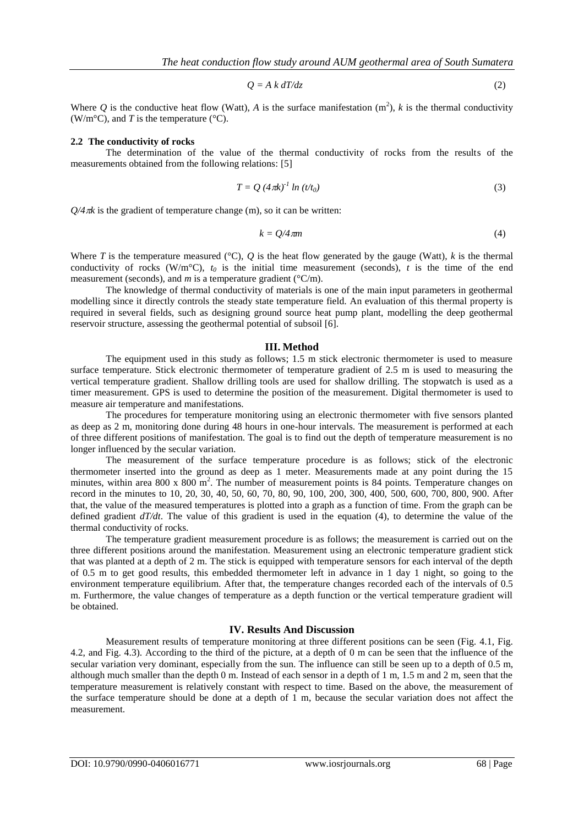$$
Q = A k dT/dz \tag{2}
$$

Where Q is the conductive heat flow (Watt), A is the surface manifestation  $(m^2)$ , k is the thermal conductivity (W/m<sup>o</sup>C), and *T* is the temperature (<sup> $\circ$ </sup>C).

#### **2.2 The conductivity of rocks**

The determination of the value of the thermal conductivity of rocks from the results of the measurements obtained from the following relations: [5]

$$
T = Q \left( 4 \pi k \right)^{-1} \ln \left( t/t_0 \right) \tag{3}
$$

 $Q/4\pi k$  is the gradient of temperature change (m), so it can be written:

$$
k = Q/4\pi m \tag{4}
$$

Where *T* is the temperature measured ( $\degree$ C), *Q* is the heat flow generated by the gauge (Watt), *k* is the thermal conductivity of rocks (W/m<sup>o</sup>C),  $t_0$  is the initial time measurement (seconds),  $t$  is the time of the end measurement (seconds), and *m* is a temperature gradient (°C/m).

The knowledge of thermal conductivity of materials is one of the main input parameters in geothermal modelling since it directly controls the steady state temperature field. An evaluation of this thermal property is required in several fields, such as designing ground source heat pump plant, modelling the deep geothermal reservoir structure, assessing the geothermal potential of subsoil [6].

#### **III. Method**

The equipment used in this study as follows; 1.5 m stick electronic thermometer is used to measure surface temperature. Stick electronic thermometer of temperature gradient of 2.5 m is used to measuring the vertical temperature gradient. Shallow drilling tools are used for shallow drilling. The stopwatch is used as a timer measurement. GPS is used to determine the position of the measurement. Digital thermometer is used to measure air temperature and manifestations.

The procedures for temperature monitoring using an electronic thermometer with five sensors planted as deep as 2 m, monitoring done during 48 hours in one-hour intervals. The measurement is performed at each of three different positions of manifestation. The goal is to find out the depth of temperature measurement is no longer influenced by the secular variation.

The measurement of the surface temperature procedure is as follows; stick of the electronic thermometer inserted into the ground as deep as 1 meter. Measurements made at any point during the 15 minutes, within area 800 x 800 m<sup>2</sup>. The number of measurement points is 84 points. Temperature changes on record in the minutes to 10, 20, 30, 40, 50, 60, 70, 80, 90, 100, 200, 300, 400, 500, 600, 700, 800, 900. After that, the value of the measured temperatures is plotted into a graph as a function of time. From the graph can be defined gradient *dT/dt*. The value of this gradient is used in the equation (4), to determine the value of the thermal conductivity of rocks.

The temperature gradient measurement procedure is as follows; the measurement is carried out on the three different positions around the manifestation. Measurement using an electronic temperature gradient stick that was planted at a depth of 2 m. The stick is equipped with temperature sensors for each interval of the depth of 0.5 m to get good results, this embedded thermometer left in advance in 1 day 1 night, so going to the environment temperature equilibrium. After that, the temperature changes recorded each of the intervals of 0.5 m. Furthermore, the value changes of temperature as a depth function or the vertical temperature gradient will be obtained.

#### **IV. Results And Discussion**

Measurement results of temperature monitoring at three different positions can be seen (Fig. 4.1, Fig. 4.2, and Fig. 4.3). According to the third of the picture, at a depth of 0 m can be seen that the influence of the secular variation very dominant, especially from the sun. The influence can still be seen up to a depth of 0.5 m, although much smaller than the depth 0 m. Instead of each sensor in a depth of 1 m, 1.5 m and 2 m, seen that the temperature measurement is relatively constant with respect to time. Based on the above, the measurement of the surface temperature should be done at a depth of 1 m, because the secular variation does not affect the measurement.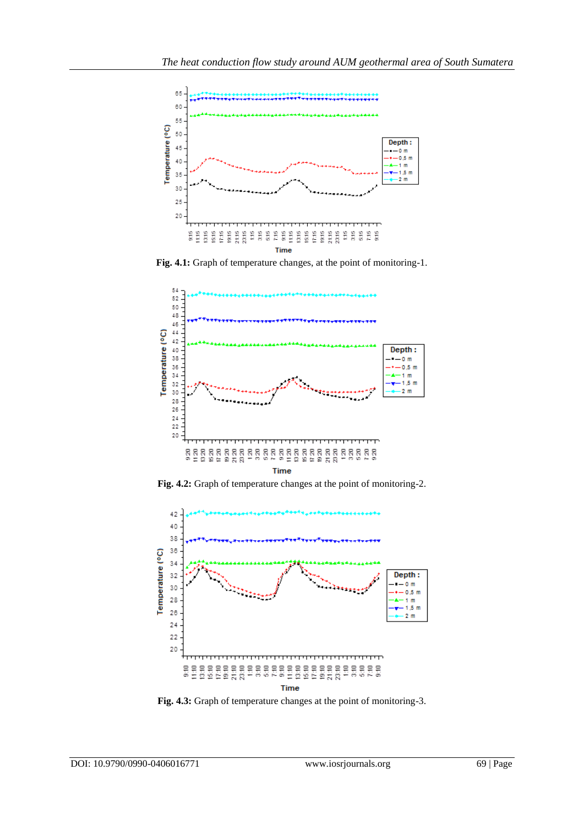

**Fig. 4.1:** Graph of temperature changes, at the point of monitoring-1.



**Fig. 4.2:** Graph of temperature changes at the point of monitoring-2.



**Fig. 4.3:** Graph of temperature changes at the point of monitoring-3.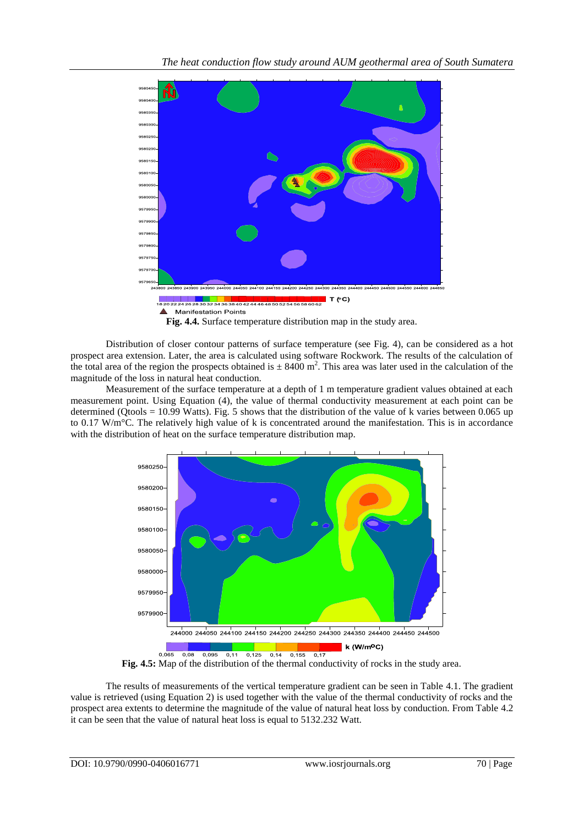

Distribution of closer contour patterns of surface temperature (see Fig. 4), can be considered as a hot prospect area extension. Later, the area is calculated using software Rockwork. The results of the calculation of the total area of the region the prospects obtained is  $\pm 8400$  m<sup>2</sup>. This area was later used in the calculation of the magnitude of the loss in natural heat conduction.

Measurement of the surface temperature at a depth of 1 m temperature gradient values obtained at each measurement point. Using Equation (4), the value of thermal conductivity measurement at each point can be determined (Qtools = 10.99 Watts). Fig. 5 shows that the distribution of the value of k varies between 0.065 up to 0.17 W/m°C. The relatively high value of k is concentrated around the manifestation. This is in accordance with the distribution of heat on the surface temperature distribution map.



**Fig. 4.5:** Map of the distribution of the thermal conductivity of rocks in the study area.

The results of measurements of the vertical temperature gradient can be seen in Table 4.1. The gradient value is retrieved (using Equation 2) is used together with the value of the thermal conductivity of rocks and the prospect area extents to determine the magnitude of the value of natural heat loss by conduction. From Table 4.2 it can be seen that the value of natural heat loss is equal to 5132.232 Watt.